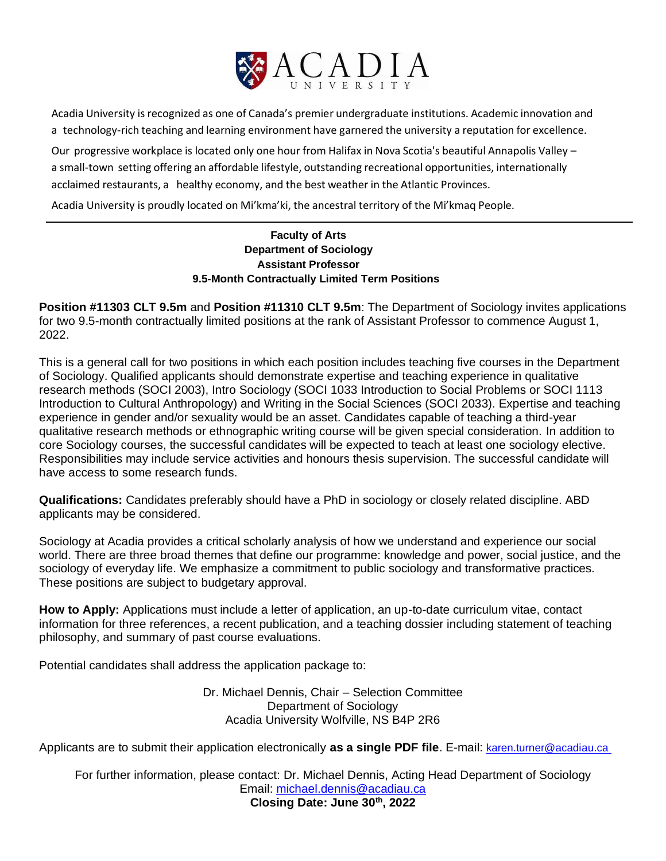

Acadia University is recognized as one of Canada's premier undergraduate institutions. Academic innovation and a technology-rich teaching and learning environment have garnered the university a reputation for excellence.

Our progressive workplace is located only one hour from Halifax in Nova Scotia's beautiful Annapolis Valley – a small-town setting offering an affordable lifestyle, outstanding recreational opportunities, internationally acclaimed restaurants, a healthy economy, and the best weather in the Atlantic Provinces.

Acadia University is proudly located on Mi'kma'ki, the ancestral territory of the Mi'kmaq People.

## **Faculty of Arts Department of Sociology Assistant Professor 9.5-Month Contractually Limited Term Positions**

**Position #11303 CLT 9.5m** and **Position #11310 CLT 9.5m**: The Department of Sociology invites applications for two 9.5-month contractually limited positions at the rank of Assistant Professor to commence August 1, 2022.

This is a general call for two positions in which each position includes teaching five courses in the Department of Sociology. Qualified applicants should demonstrate expertise and teaching experience in qualitative research methods (SOCI 2003), Intro Sociology (SOCI 1033 Introduction to Social Problems or SOCI 1113 Introduction to Cultural Anthropology) and Writing in the Social Sciences (SOCI 2033). Expertise and teaching experience in gender and/or sexuality would be an asset. Candidates capable of teaching a third-year qualitative research methods or ethnographic writing course will be given special consideration. In addition to core Sociology courses, the successful candidates will be expected to teach at least one sociology elective. Responsibilities may include service activities and honours thesis supervision. The successful candidate will have access to some research funds.

**Qualifications:** Candidates preferably should have a PhD in sociology or closely related discipline. ABD applicants may be considered.

Sociology at Acadia provides a critical scholarly analysis of how we understand and experience our social world. There are three broad themes that define our programme: knowledge and power, social justice, and the sociology of everyday life. We emphasize a commitment to public sociology and transformative practices. These positions are subject to budgetary approval.

**How to Apply:** Applications must include a letter of application, an up-to-date curriculum vitae, contact information for three references, a recent publication, and a teaching dossier including statement of teaching philosophy, and summary of past course evaluations.

Potential candidates shall address the application package to:

Dr. Michael Dennis, Chair – Selection Committee Department of Sociology Acadia University Wolfville, NS B4P 2R6

Applicants are to submit their application electronically as a single PDF file. E-mail: [karen.turner@acadiau.ca](mailto:karen.turner@acadiau.ca )

For further information, please contact: Dr. Michael Dennis, Acting Head Department of Sociology Email: [michael.dennis@acadiau.ca](mailto:michael.dennis@acadiau.ca) **Closing Date: June 30th, 2022**